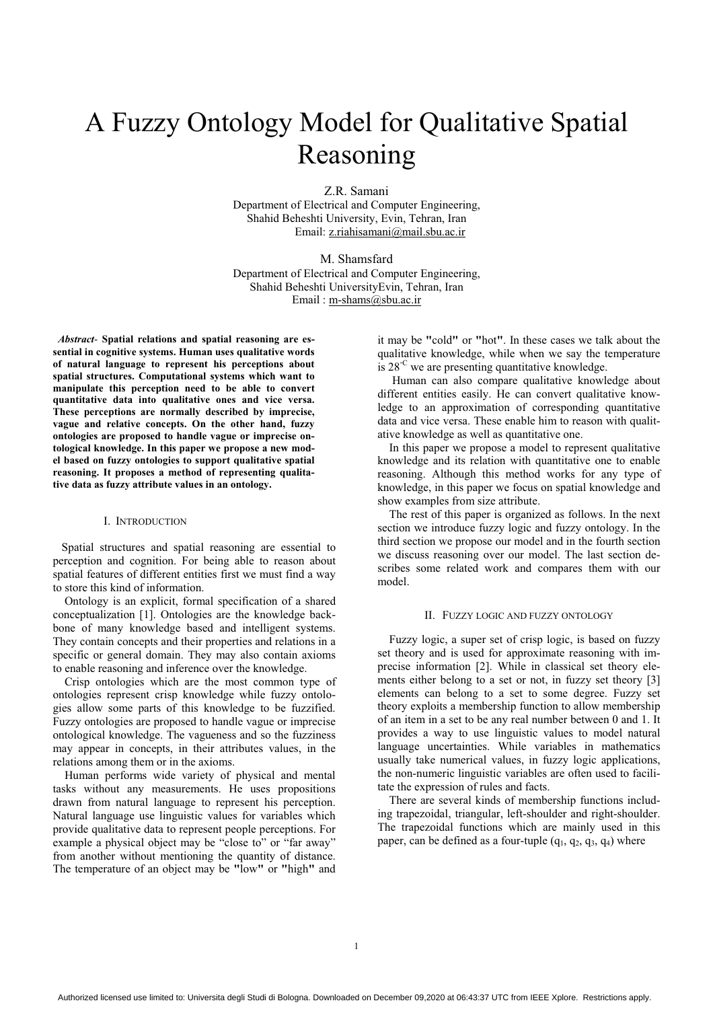# A Fuzzy Ontology Model for Qualitative Spatial Reasoning

Z.R. Samani

Department of Electrical and Computer Engineering, Shahid Beheshti University, Evin, Tehran, Iran Email: z.riahisamani@mail.sbu.ac.ir

M. Shamsfard Department of Electrical and Computer Engineering, Shahid Beheshti UniversityEvin, Tehran, Iran Email : m-shams@sbu.ac.ir

 *Abstract*- **Spatial relations and spatial reasoning are essential in cognitive systems. Human uses qualitative words of natural language to represent his perceptions about spatial structures. Computational systems which want to manipulate this perception need to be able to convert quantitative data into qualitative ones and vice versa. These perceptions are normally described by imprecise, vague and relative concepts. On the other hand, fuzzy ontologies are proposed to handle vague or imprecise ontological knowledge. In this paper we propose a new model based on fuzzy ontologies to support qualitative spatial reasoning. It proposes a method of representing qualitative data as fuzzy attribute values in an ontology.**

#### I. INTRODUCTION

 Spatial structures and spatial reasoning are essential to perception and cognition. For being able to reason about spatial features of different entities first we must find a way to store this kind of information.

 Ontology is an explicit, formal specification of a shared conceptualization [1]. Ontologies are the knowledge backbone of many knowledge based and intelligent systems. They contain concepts and their properties and relations in a specific or general domain. They may also contain axioms to enable reasoning and inference over the knowledge.

 Crisp ontologies which are the most common type of ontologies represent crisp knowledge while fuzzy ontologies allow some parts of this knowledge to be fuzzified. Fuzzy ontologies are proposed to handle vague or imprecise ontological knowledge. The vagueness and so the fuzziness may appear in concepts, in their attributes values, in the relations among them or in the axioms.

Human performs wide variety of physical and mental tasks without any measurements. He uses propositions drawn from natural language to represent his perception. Natural language use linguistic values for variables which provide qualitative data to represent people perceptions. For example a physical object may be "close to" or "far away" from another without mentioning the quantity of distance. The temperature of an object may be **"**low**"** or **"**high**"** and it may be **"**cold**"** or **"**hot**"**. In these cases we talk about the qualitative knowledge, while when we say the temperature is  $28^{\circ}$  we are presenting quantitative knowledge.

 Human can also compare qualitative knowledge about different entities easily. He can convert qualitative knowledge to an approximation of corresponding quantitative data and vice versa. These enable him to reason with qualitative knowledge as well as quantitative one.

 In this paper we propose a model to represent qualitative knowledge and its relation with quantitative one to enable reasoning. Although this method works for any type of knowledge, in this paper we focus on spatial knowledge and show examples from size attribute.

 The rest of this paper is organized as follows. In the next section we introduce fuzzy logic and fuzzy ontology. In the third section we propose our model and in the fourth section we discuss reasoning over our model. The last section describes some related work and compares them with our model.

#### II. FUZZY LOGIC AND FUZZY ONTOLOGY

 Fuzzy logic, a super set of crisp logic, is based on fuzzy set theory and is used for approximate reasoning with imprecise information [2]. While in classical set theory elements either belong to a set or not, in fuzzy set theory [3] elements can belong to a set to some degree. Fuzzy set theory exploits a membership function to allow membership of an item in a set to be any real number between 0 and 1. It provides a way to use linguistic values to model natural language uncertainties. While variables in mathematics usually take numerical values, in fuzzy logic applications, the non-numeric linguistic variables are often used to facilitate the expression of rules and facts.

 There are several kinds of membership functions including trapezoidal, triangular, left-shoulder and right-shoulder. The trapezoidal functions which are mainly used in this paper, can be defined as a four-tuple  $(q_1, q_2, q_3, q_4)$  where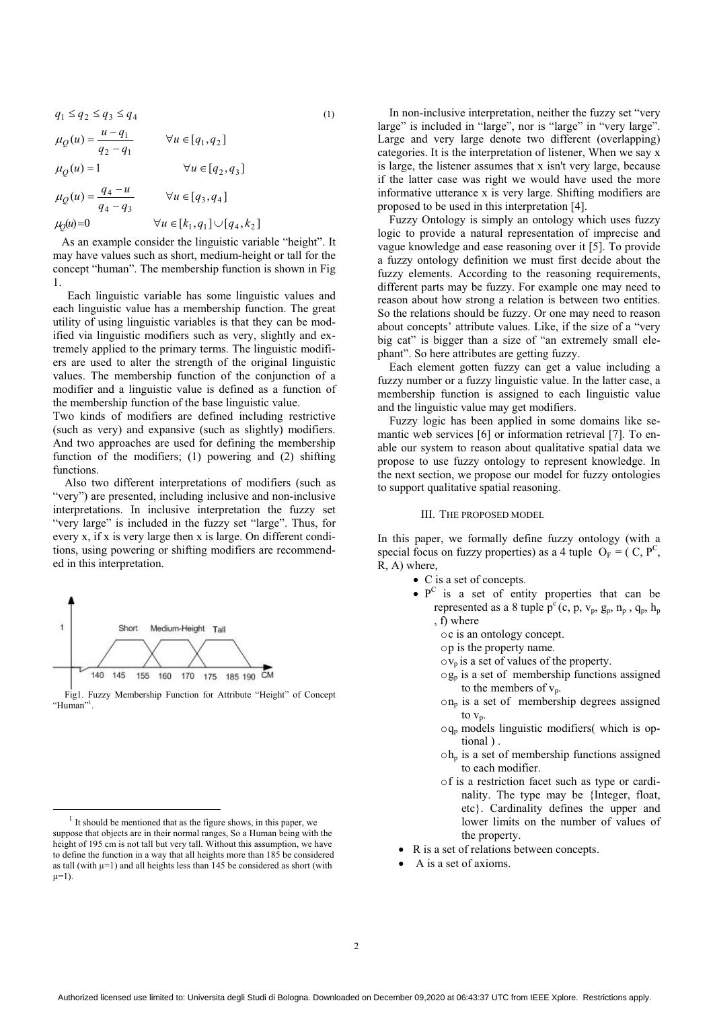$$
q_{1} \leq q_{2} \leq q_{3} \leq q_{4}
$$
\n
$$
\mu_{Q}(u) = \frac{u - q_{1}}{q_{2} - q_{1}} \qquad \forall u \in [q_{1}, q_{2}]
$$
\n
$$
\mu_{Q}(u) = 1 \qquad \forall u \in [q_{2}, q_{3}]
$$
\n
$$
\mu_{Q}(u) = \frac{q_{4} - u}{q_{4} - q_{3}} \qquad \forall u \in [q_{3}, q_{4}]
$$
\n
$$
\mu_{Q}(u) = 0 \qquad \forall u \in [k_{1}, q_{1}] \cup [q_{4}, k_{2}]
$$
\n
$$
(1)
$$

 As an example consider the linguistic variable "height". It may have values such as short, medium-height or tall for the concept "human". The membership function is shown in Fig 1.

 Each linguistic variable has some linguistic values and each linguistic value has a membership function. The great utility of using linguistic variables is that they can be modified via linguistic modifiers such as very, slightly and extremely applied to the primary terms. The linguistic modifiers are used to alter the strength of the original linguistic values. The membership function of the conjunction of a modifier and a linguistic value is defined as a function of the membership function of the base linguistic value.

Two kinds of modifiers are defined including restrictive (such as very) and expansive (such as slightly) modifiers. And two approaches are used for defining the membership function of the modifiers; (1) powering and (2) shifting functions.

 Also two different interpretations of modifiers (such as "very") are presented, including inclusive and non-inclusive interpretations. In inclusive interpretation the fuzzy set "very large" is included in the fuzzy set "large". Thus, for every x, if x is very large then x is large. On different conditions, using powering or shifting modifiers are recommended in this interpretation.



 Fig1. Fuzzy Membership Function for Attribute "Height" of Concept "Human"<sup>1</sup> .

 $1$  It should be mentioned that as the figure shows, in this paper, we suppose that objects are in their normal ranges, So a Human being with the height of 195 cm is not tall but very tall. Without this assumption, we have to define the function in a way that all heights more than 185 be considered as tall (with  $\mu$ =1) and all heights less than 145 be considered as short (with  $μ=1$ ).

 In non-inclusive interpretation, neither the fuzzy set "very large" is included in "large", nor is "large" in "very large". Large and very large denote two different (overlapping) categories. It is the interpretation of listener, When we say x is large, the listener assumes that x isn't very large, because if the latter case was right we would have used the more informative utterance x is very large. Shifting modifiers are proposed to be used in this interpretation [4].

 Fuzzy Ontology is simply an ontology which uses fuzzy logic to provide a natural representation of imprecise and vague knowledge and ease reasoning over it [5]. To provide a fuzzy ontology definition we must first decide about the fuzzy elements. According to the reasoning requirements, different parts may be fuzzy. For example one may need to reason about how strong a relation is between two entities. So the relations should be fuzzy. Or one may need to reason about concepts' attribute values. Like, if the size of a "very big cat" is bigger than a size of "an extremely small elephant". So here attributes are getting fuzzy.

 Each element gotten fuzzy can get a value including a fuzzy number or a fuzzy linguistic value. In the latter case, a membership function is assigned to each linguistic value and the linguistic value may get modifiers.

Fuzzy logic has been applied in some domains like semantic web services [6] or information retrieval [7]. To enable our system to reason about qualitative spatial data we propose to use fuzzy ontology to represent knowledge. In the next section, we propose our model for fuzzy ontologies to support qualitative spatial reasoning.

#### III. THE PROPOSED MODEL

In this paper, we formally define fuzzy ontology (with a special focus on fuzzy properties) as a 4 tuple  $O_F = (C, P^C,$ R, A) where,

- C is a set of concepts.
- $\bullet$  P<sup>C</sup> is a set of entity properties that can be represented as a 8 tuple  $p^{c}$  (c, p,  $v_{p}$ ,  $g_{p}$ ,  $n_{p}$ ,  $q_{p}$ ,  $h_{p}$ , f) where
	- oc is an ontology concept.
	- op is the property name.
	- $\circ v_p$  is a set of values of the property.
	- $\circ$ g<sub>p</sub> is a set of membership functions assigned to the members of  $v_p$ .
	- $\circ$ n<sub>p</sub> is a set of membership degrees assigned to  $V_p$ .
	- $\circ q_p$  models linguistic modifiers( which is optional ) .
	- $oh<sub>p</sub>$  is a set of membership functions assigned to each modifier.
	- of is a restriction facet such as type or cardinality. The type may be {Integer, float, etc}. Cardinality defines the upper and lower limits on the number of values of the property.
- R is a set of relations between concepts.
- A is a set of axioms.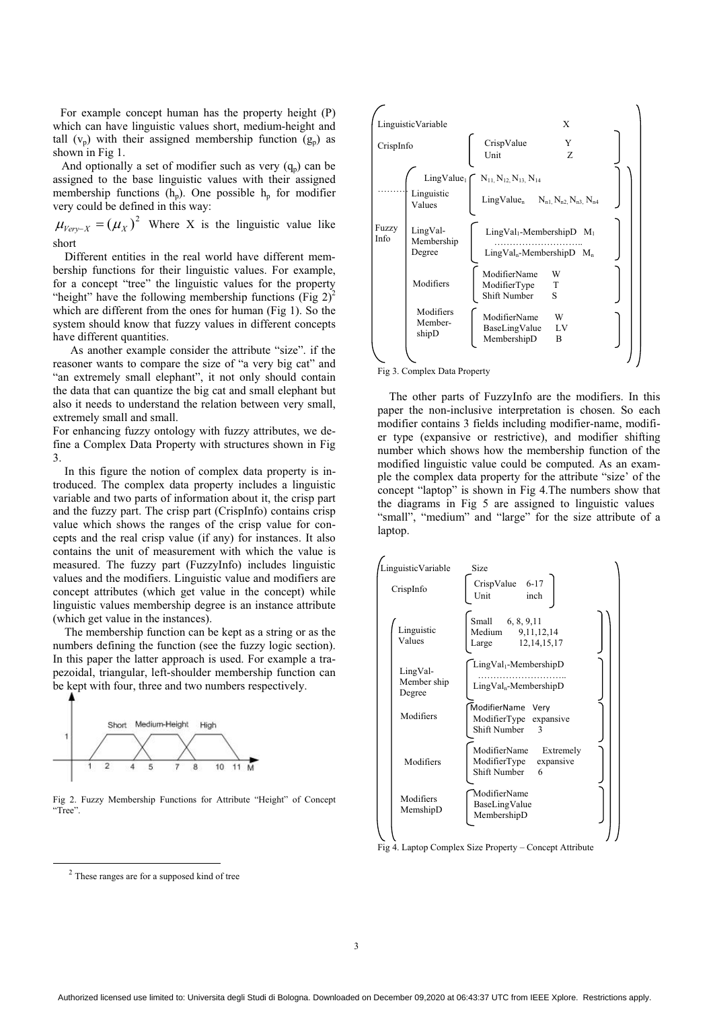For example concept human has the property height (P) which can have linguistic values short, medium-height and tall  $(v_n)$  with their assigned membership function  $(g_n)$  as shown in Fig 1.

And optionally a set of modifier such as very  $(q_p)$  can be assigned to the base linguistic values with their assigned membership functions  $(h_p)$ . One possible  $h_p$  for modifier very could be defined in this way:

 $\mu_{Vey-X} = (\mu_X)^2$  Where X is the linguistic value like short

Different entities in the real world have different membership functions for their linguistic values. For example, for a concept "tree" the linguistic values for the property "height" have the following membership functions (Fig  $2)^2$ which are different from the ones for human (Fig 1). So the system should know that fuzzy values in different concepts have different quantities.

 As another example consider the attribute "size". if the reasoner wants to compare the size of "a very big cat" and "an extremely small elephant", it not only should contain the data that can quantize the big cat and small elephant but also it needs to understand the relation between very small, extremely small and small.

For enhancing fuzzy ontology with fuzzy attributes, we define a Complex Data Property with structures shown in Fig 3.

 In this figure the notion of complex data property is introduced. The complex data property includes a linguistic variable and two parts of information about it, the crisp part and the fuzzy part. The crisp part (CrispInfo) contains crisp value which shows the ranges of the crisp value for concepts and the real crisp value (if any) for instances. It also contains the unit of measurement with which the value is measured. The fuzzy part (FuzzyInfo) includes linguistic values and the modifiers. Linguistic value and modifiers are concept attributes (which get value in the concept) while linguistic values membership degree is an instance attribute (which get value in the instances).

 The membership function can be kept as a string or as the numbers defining the function (see the fuzzy logic section). In this paper the latter approach is used. For example a trapezoidal, triangular, left-shoulder membership function can be kept with four, three and two numbers respectively.



Fig 2. Fuzzy Membership Functions for Attribute "Height" of Concept "Tree".



Fig 3. Complex Data Property

 The other parts of FuzzyInfo are the modifiers. In this paper the non-inclusive interpretation is chosen. So each modifier contains 3 fields including modifier-name, modifier type (expansive or restrictive), and modifier shifting number which shows how the membership function of the modified linguistic value could be computed. As an example the complex data property for the attribute "size' of the concept "laptop" is shown in Fig 4.The numbers show that the diagrams in Fig 5 are assigned to linguistic values "small", "medium" and "large" for the size attribute of a laptop.



Fig 4. Laptop Complex Size Property – Concept Attribute

 <sup>2</sup> These ranges are for a supposed kind of tree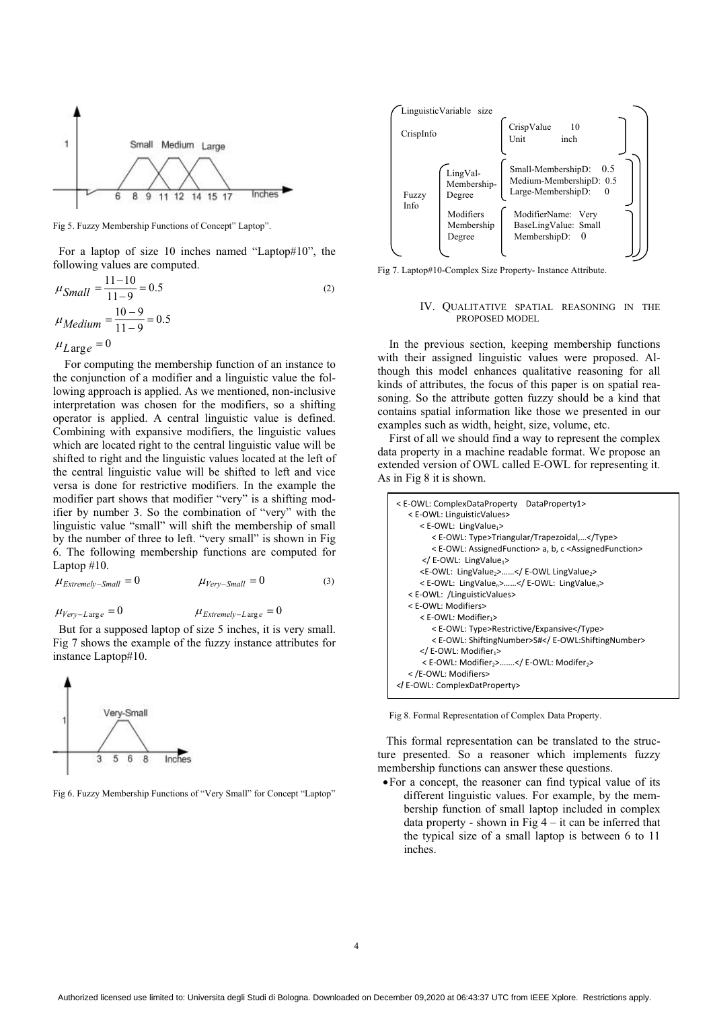

Fig 5. Fuzzy Membership Functions of Concept" Laptop".

 For a laptop of size 10 inches named "Laptop#10", the following values are computed.

$$
\mu_{Small} = \frac{11 - 10}{11 - 9} = 0.5
$$
\n
$$
\mu_{Medium} = \frac{10 - 9}{11 - 9} = 0.5
$$
\n
$$
\mu_{Large} = 0
$$
\n(2)

 For computing the membership function of an instance to the conjunction of a modifier and a linguistic value the following approach is applied. As we mentioned, non-inclusive interpretation was chosen for the modifiers, so a shifting operator is applied. A central linguistic value is defined. Combining with expansive modifiers, the linguistic values which are located right to the central linguistic value will be shifted to right and the linguistic values located at the left of the central linguistic value will be shifted to left and vice versa is done for restrictive modifiers. In the example the modifier part shows that modifier "very" is a shifting modifier by number 3. So the combination of "very" with the linguistic value "small" will shift the membership of small by the number of three to left. "very small" is shown in Fig 6. The following membership functions are computed for Laptop #10.

$$
\mu_{Extremely-Small} = 0 \qquad \qquad \mu_{Very-Small} = 0 \qquad (3)
$$

 $\mu_{\text{K}x} = 0$   $\mu_{\text{Ex}t} = 0$ 

 But for a supposed laptop of size 5 inches, it is very small. Fig 7 shows the example of the fuzzy instance attributes for instance Laptop#10.



Fig 6. Fuzzy Membership Functions of "Very Small" for Concept "Laptop"



Fig 7. Laptop#10-Complex Size Property- Instance Attribute.

#### IV. QUALITATIVE SPATIAL REASONING IN THE PROPOSED MODEL

 In the previous section, keeping membership functions with their assigned linguistic values were proposed. Although this model enhances qualitative reasoning for all kinds of attributes, the focus of this paper is on spatial reasoning. So the attribute gotten fuzzy should be a kind that contains spatial information like those we presented in our examples such as width, height, size, volume, etc.

 First of all we should find a way to represent the complex data property in a machine readable format. We propose an extended version of OWL called E-OWL for representing it. As in Fig 8 it is shown.

| <e-owl: complexdataproperty="" dataproperty1=""><br/>&lt; E-OWL: LinguisticValues&gt;<br/>&lt; E-OWL: LingValue<sub>1</sub>&gt;</e-owl:> |
|------------------------------------------------------------------------------------------------------------------------------------------|
| < E-OWL: Type>Triangular/Trapezoidal,                                                                                                    |
| <e-owl: assignedfunction=""> a, b, c <assignedfunction></assignedfunction></e-owl:>                                                      |
| $\langle$ E-OWL: LingValue <sub>1</sub> >                                                                                                |
| <e-owl: lingvalue<sub="">2&gt;2&gt;</e-owl:>                                                                                             |
| <e-owl: lingvalue<sub="">n&gt;</e-owl:> n>                                                                                               |
| <e-owl: linguisticvalues=""></e-owl:>                                                                                                    |
| < F-OWL: Modifiers>                                                                                                                      |
| < E-OWL: Modifier1>                                                                                                                      |
| <e-owl:type>Restrictive/Expansive</e-owl:type>                                                                                           |
| <e-owl: shiftingnumber="">S#</e-owl:>                                                                                                    |
|                                                                                                                                          |
| <e-owl: modifier<sub="">2&gt;</e-owl:> 2>                                                                                                |
|                                                                                                                                          |
|                                                                                                                                          |

Fig 8. Formal Representation of Complex Data Property.

 This formal representation can be translated to the structure presented. So a reasoner which implements fuzzy membership functions can answer these questions.

 For a concept, the reasoner can find typical value of its different linguistic values. For example, by the membership function of small laptop included in complex data property - shown in Fig  $4 - it$  can be inferred that the typical size of a small laptop is between 6 to 11 inches.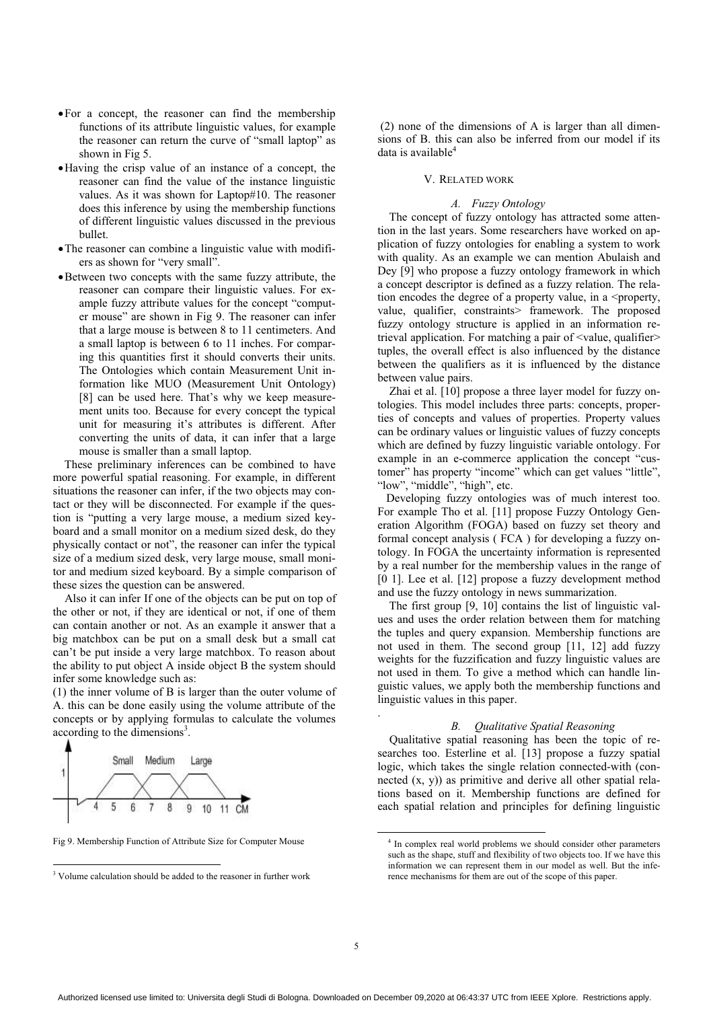- For a concept, the reasoner can find the membership functions of its attribute linguistic values, for example the reasoner can return the curve of "small laptop" as shown in Fig 5.
- Having the crisp value of an instance of a concept, the reasoner can find the value of the instance linguistic values. As it was shown for Laptop#10. The reasoner does this inference by using the membership functions of different linguistic values discussed in the previous bullet.
- The reasoner can combine a linguistic value with modifiers as shown for "very small".
- Between two concepts with the same fuzzy attribute, the reasoner can compare their linguistic values. For example fuzzy attribute values for the concept "computer mouse" are shown in Fig 9. The reasoner can infer that a large mouse is between 8 to 11 centimeters. And a small laptop is between 6 to 11 inches. For comparing this quantities first it should converts their units. The Ontologies which contain Measurement Unit information like MUO (Measurement Unit Ontology) [8] can be used here. That's why we keep measurement units too. Because for every concept the typical unit for measuring it's attributes is different. After converting the units of data, it can infer that a large mouse is smaller than a small laptop.

 These preliminary inferences can be combined to have more powerful spatial reasoning. For example, in different situations the reasoner can infer, if the two objects may contact or they will be disconnected. For example if the question is "putting a very large mouse, a medium sized keyboard and a small monitor on a medium sized desk, do they physically contact or not", the reasoner can infer the typical size of a medium sized desk, very large mouse, small monitor and medium sized keyboard. By a simple comparison of these sizes the question can be answered.

 Also it can infer If one of the objects can be put on top of the other or not, if they are identical or not, if one of them can contain another or not. As an example it answer that a big matchbox can be put on a small desk but a small cat can't be put inside a very large matchbox. To reason about the ability to put object A inside object B the system should infer some knowledge such as:

(1) the inner volume of B is larger than the outer volume of A. this can be done easily using the volume attribute of the concepts or by applying formulas to calculate the volumes according to the dimensions<sup>3</sup>.



l

Fig 9. Membership Function of Attribute Size for Computer Mouse

 (2) none of the dimensions of A is larger than all dimensions of B. this can also be inferred from our model if its data is available $4$ 

## V. RELATED WORK

### *A. Fuzzy Ontology*

 The concept of fuzzy ontology has attracted some attention in the last years. Some researchers have worked on application of fuzzy ontologies for enabling a system to work with quality. As an example we can mention Abulaish and Dey [9] who propose a fuzzy ontology framework in which a concept descriptor is defined as a fuzzy relation. The relation encodes the degree of a property value, in a  $\leq$  property, value, qualifier, constraints> framework. The proposed fuzzy ontology structure is applied in an information retrieval application. For matching a pair of <value, qualifier> tuples, the overall effect is also influenced by the distance between the qualifiers as it is influenced by the distance between value pairs.

Zhai et al. [10] propose a three layer model for fuzzy ontologies. This model includes three parts: concepts, properties of concepts and values of properties. Property values can be ordinary values or linguistic values of fuzzy concepts which are defined by fuzzy linguistic variable ontology. For example in an e-commerce application the concept "customer" has property "income" which can get values "little", "low", "middle", "high", etc.

 Developing fuzzy ontologies was of much interest too. For example Tho et al. [11] propose Fuzzy Ontology Generation Algorithm (FOGA) based on fuzzy set theory and formal concept analysis ( FCA ) for developing a fuzzy ontology. In FOGA the uncertainty information is represented by a real number for the membership values in the range of [0 1]. Lee et al. [12] propose a fuzzy development method and use the fuzzy ontology in news summarization.

 The first group [9, 10] contains the list of linguistic values and uses the order relation between them for matching the tuples and query expansion. Membership functions are not used in them. The second group [11, 12] add fuzzy weights for the fuzzification and fuzzy linguistic values are not used in them. To give a method which can handle linguistic values, we apply both the membership functions and linguistic values in this paper.

# *B. Qualitative Spatial Reasoning*

Qualitative spatial reasoning has been the topic of researches too. Esterline et al. [13] propose a fuzzy spatial logic, which takes the single relation connected-with (connected  $(x, y)$  as primitive and derive all other spatial relations based on it. Membership functions are defined for each spatial relation and principles for defining linguistic

.

<sup>&</sup>lt;sup>3</sup> Volume calculation should be added to the reasoner in further work

 <sup>4</sup> In complex real world problems we should consider other parameters such as the shape, stuff and flexibility of two objects too. If we have this information we can represent them in our model as well. But the inference mechanisms for them are out of the scope of this paper.